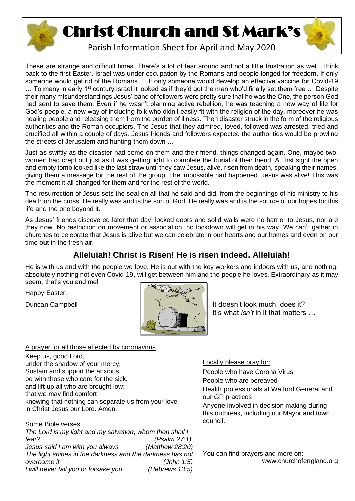

Christ Church and St Mark's

Parish Information Sheet for April and May 2020

These are strange and difficult times. There's a lot of fear around and not a little frustration as well. Think back to the first Easter. Israel was under occupation by the Romans and people longed for freedom. If only someone would get rid of the Romans … If only someone would develop an effective vaccine for Covid-19  $\ldots$  To many in early 1<sup>st</sup> century Israel it looked as if they'd got the man who'd finally set them free  $\ldots$  Despite their many misunderstandings Jesus' band of followers were pretty sure that he was the One, the person God had sent to save them. Even if he wasn't planning active rebellion, he was teaching a new way of life for God's people, a new way of including folk who didn't easily fit with the religion of the day, moreover he was healing people and releasing them from the burden of illness. Then disaster struck in the form of the religious authorities and the Roman occupiers. The Jesus that they admired, loved, followed was arrested, tried and crucified all within a couple of days. Jesus friends and followers expected the authorities would be prowling the streets of Jerusalem and hunting them down …

Just as swiftly as the disaster had come on them and their friend, things changed again. One, maybe two, women had crept out just as it was getting light to complete the burial of their friend. At first sight the open and empty tomb looked like the last straw until they saw Jesus, alive, risen from death, speaking their names, giving them a message for the rest of the group. The impossible had happened. Jesus was alive! This was the moment it all changed for them and for the rest of the world.

The resurrection of Jesus sets the seal on all that he said and did, from the beginnings of his ministry to his death on the cross. He really was and is the son of God. He really was and is the source of our hopes for this life and the one beyond it.

As Jesus' friends discovered later that day, locked doors and solid walls were no barrier to Jesus, nor are they now. No restriction on movement or association, no lockdown will get in his way. We can't gather in churches to celebrate that Jesus is alive but we can celebrate in our hearts and our homes and even on our time out in the fresh air.

## **Alleluiah! Christ is Risen! He is risen indeed. Alleluiah!**

He is with us and with the people we love. He is out with the key workers and indoors with us, and nothing, absolutely nothing not even Covid-19, will get between him and the people he loves. Extraordinary as it may seem, that's you and me!

Happy Easter.



Duncan Campbell **It doesn't look much, does it?** It's what *isn't* in it that matters …

#### A prayer for all those affected by coronavirus

Keep us, good Lord, under the shadow of your mercy. Sustain and support the anxious, be with those who care for the sick, and lift up all who are brought low; that we may find comfort knowing that nothing can separate us from your love in Christ Jesus our Lord. Amen.

#### Some Bible verses

*The Lord is my light and my salvation, whom then shall I fear? (Psalm 27:1) Jesus said I am with you always (Matthew 28:20) The light shines in the darkness and the darkness has not overcome it (John 1:5) I will never fail you or forsake you (Hebrews 13:5)*

#### Locally please pray for:

People who have Corona Virus People who are bereaved Health professionals at Watford General and our GP practices

Anyone involved in decision making during this outbreak, including our Mayor and town council.

You can find prayers and more on:

www.churchofengland.org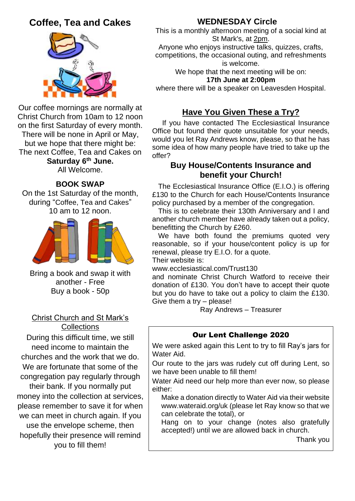## **Coffee, Tea and Cakes**



Our coffee mornings are normally at Christ Church from 10am to 12 noon on the first Saturday of every month. There will be none in April or May, but we hope that there might be: The next Coffee, Tea and Cakes on **Saturday 6 th June.** All Welcome.

### **BOOK SWAP**

On the 1st Saturday of the month, during "Coffee, Tea and Cakes" 10 am to 12 noon.



Bring a book and swap it with another - Free Buy a book - 50p

#### Christ Church and St Mark's **Collections**

During this difficult time, we still need income to maintain the churches and the work that we do. We are fortunate that some of the congregation pay regularly through

their bank. If you normally put money into the collection at services, please remember to save it for when we can meet in church again. If you use the envelope scheme, then hopefully their presence will remind you to fill them!

### **WEDNESDAY Circle**

This is a monthly afternoon meeting of a social kind at St Mark's, at 2pm.

Anyone who enjoys instructive talks, quizzes, crafts, competitions, the occasional outing, and refreshments is welcome.

We hope that the next meeting will be on:

**17th June at 2:00pm**

where there will be a speaker on Leavesden Hospital.

## **Have You Given These a Try?**

 If you have contacted The Ecclesiastical Insurance Office but found their quote unsuitable for your needs, would you let Ray Andrews know, please, so that he has some idea of how many people have tried to take up the offer?

#### **Buy House/Contents Insurance and benefit your Church!**

 The Ecclesiastical Insurance Office (E.I.O.) is offering £130 to the Church for each House/Contents Insurance policy purchased by a member of the congregation.

 This is to celebrate their 130th Anniversary and I and another church member have already taken out a policy, benefitting the Church by £260.

 We have both found the premiums quoted very reasonable, so if your house/content policy is up for renewal, please try E.I.O. for a quote. Their website is:

www.ecclesiastical.com/Trust130

and nominate Christ Church Watford to receive their donation of £130. You don't have to accept their quote but you do have to take out a policy to claim the £130. Give them a try – please!

Ray Andrews – Treasurer

Our Lent Challenge 2020

We were asked again this Lent to try to fill Ray's jars for Water Aid.

Our route to the jars was rudely cut off during Lent, so we have been unable to fill them!

Water Aid need our help more than ever now, so please either:

Make a donation directly to Water Aid via their website www.wateraid.org/uk (please let Ray know so that we can celebrate the total), or

Hang on to your change (notes also gratefully accepted!) until we are allowed back in church.

Thank you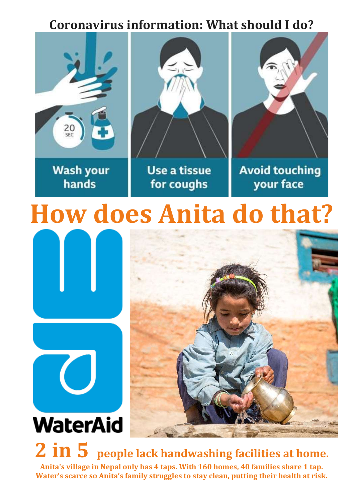## **Coronavirus information: What should I do?**



# **How does Anita do that?**



**2 in 5 people lack handwashing facilities at home. Anita's village in Nepal only has 4 taps. With 160 homes, 40 families share 1 tap. Water's scarce so Anita's family struggles to stay clean, putting their health at risk.**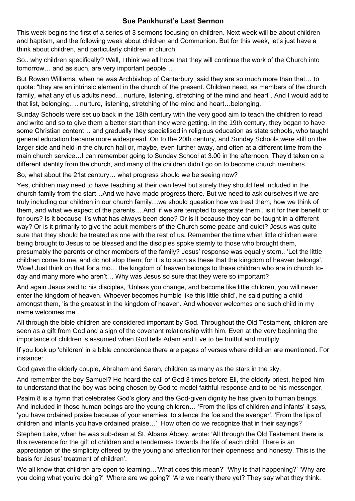#### **Sue Pankhurst's Last Sermon**

This week begins the first of a series of 3 sermons focusing on children. Next week will be about children and baptism, and the following week about children and Communion. But for this week, let's just have a think about children, and particularly children in church.

So.. why children specifically? Well, I think we all hope that they will continue the work of the Church into tomorrow… and as such, are very important people…

But Rowan Williams, when he was Archbishop of Canterbury, said they are so much more than that… to quote: "they are an intrinsic element in the church of the present. Children need, as members of the church family, what any of us adults need… nurture, listening, stretching of the mind and heart". And I would add to that list, belonging…. nurture, listening, stretching of the mind and heart…belonging.

Sunday Schools were set up back in the 18th century with the very good aim to teach the children to read and write and so to give them a better start than they were getting. In the 19th century, they began to have some Christian content… and gradually they specialised in religious education as state schools, who taught general education became more widespread. On to the 20th century, and Sunday Schools were still on the larger side and held in the church hall or, maybe, even further away, and often at a different time from the main church service…I can remember going to Sunday School at 3.00 in the afternoon. They'd taken on a different identity from the church, and many of the children didn't go on to become church members.

So, what about the 21st century… what progress should we be seeing now?

Yes, children may need to have teaching at their own level but surely they should feel included in the church family from the start…And we have made progress there. But we need to ask ourselves if we are truly including our children in our church family…we should question how we treat them, how we think of them, and what we expect of the parents… And, if we are tempted to separate them.. is it for their benefit or for ours? Is it because it's what has always been done? Or is it because they can be taught in a different way? Or is it primarily to give the adult members of the Church some peace and quiet? Jesus was quite sure that they should be treated as one with the rest of us. Remember the time when little children were being brought to Jesus to be blessed and the disciples spoke sternly to those who brought them, presumably the parents or other members of the family? Jesus' response was equally stern.. 'Let the little children come to me, and do not stop them; for it is to such as these that the kingdom of heaven belongs'. Wow! Just think on that for a mo… the kingdom of heaven belongs to these children who are in church today and many more who aren't… Why was Jesus so sure that they were so important?

And again Jesus said to his disciples, 'Unless you change, and become like little children, you will never enter the kingdom of heaven. Whoever becomes humble like this little child', he said putting a child amongst them, 'is the greatest in the kingdom of heaven. And whoever welcomes one such child in my name welcomes me'.

All through the bible children are considered important by God. Throughout the Old Testament, children are seen as a gift from God and a sign of the covenant relationship with him. Even at the very beginning the importance of children is assumed when God tells Adam and Eve to be fruitful and multiply.

If you look up 'children' in a bible concordance there are pages of verses where children are mentioned. For instance:

God gave the elderly couple, Abraham and Sarah, children as many as the stars in the sky.

And remember the boy Samuel? He heard the call of God 3 times before Eli, the elderly priest, helped him to understand that the boy was being chosen by God to model faithful response and to be his messenger.

Psalm 8 is a hymn that celebrates God's glory and the God-given dignity he has given to human beings. And included in those human beings are the young children… 'From the lips of children and infants' it says, 'you have ordained praise because of your enemies, to silence the foe and the avenger'. 'From the lips of children and infants you have ordained praise…' How often do we recognize that in their sayings?

Stephen Lake, when he was sub-dean at St. Albans Abbey, wrote: 'All through the Old Testament there is this reverence for the gift of children and a tenderness towards the life of each child. There is an appreciation of the simplicity offered by the young and affection for their openness and honesty. This is the basis for Jesus' treatment of children'.

We all know that children are open to learning…'What does this mean?' 'Why is that happening?' 'Why are you doing what you're doing?' 'Where are we going?' 'Are we nearly there yet? They say what they think,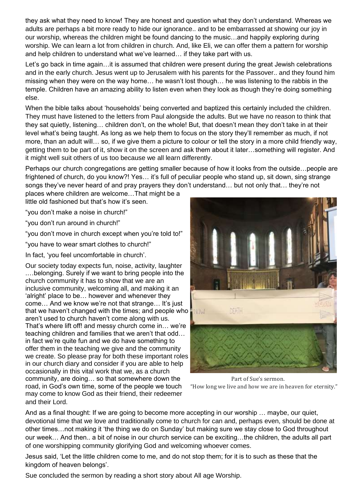they ask what they need to know! They are honest and question what they don't understand. Whereas we adults are perhaps a bit more ready to hide our ignorance.. and to be embarrassed at showing our joy in our worship, whereas the children might be found dancing to the music…and happily exploring during worship. We can learn a lot from children in church. And, like Eli, we can offer them a pattern for worship and help children to understand what we've learned… if they take part with us.

Let's go back in time again... it is assumed that children were present during the great Jewish celebrations and in the early church. Jesus went up to Jerusalem with his parents for the Passover.. and they found him missing when they were on the way home… he wasn't lost though… he was listening to the rabbis in the temple. Children have an amazing ability to listen even when they look as though they're doing something else.

When the bible talks about 'households' being converted and baptized this certainly included the children. They must have listened to the letters from Paul alongside the adults. But we have no reason to think that they sat quietly, listening… children don't, on the whole! But, that doesn't mean they don't take in at their level what's being taught. As long as we help them to focus on the story they'll remember as much, if not more, than an adult will… so, if we give them a picture to colour or tell the story in a more child friendly way, getting them to be part of it, show it on the screen and ask them about it later…something will register. And it might well suit others of us too because we all learn differently.

Perhaps our church congregations are getting smaller because of how it looks from the outside…people are frightened of church, do you know?! Yes… it's full of peculiar people who stand up, sit down, sing strange songs they've never heard of and pray prayers they don't understand… but not only that… they're not

places where children are welcome…That might be a little old fashioned but that's how it's seen.

"you don't make a noise in church!"

"you don't run around in church!"

"you don't move in church except when you're told to!"

"you have to wear smart clothes to church!"

In fact, 'you feel uncomfortable in church'.

Our society today expects fun, noise, activity, laughter .…belonging. Surely if we want to bring people into the church community it has to show that we are an inclusive community, welcoming all, and making it an 'alright' place to be… however and whenever they come… And we know we're not that strange… It's just that we haven't changed with the times; and people who aren't used to church haven't come along with us. That's where lift off! and messy church come in… we're teaching children and families that we aren't that odd… in fact we're quite fun and we do have something to offer them in the teaching we give and the community we create. So please pray for both these important roles in our church diary and consider if you are able to help occasionally in this vital work that we, as a church community, are doing... so that somewhere down the Part of Sue's sermon. road, in God's own time, some of the people we touch "How long we live and how we are in heaven for eternity." may come to know God as their friend, their redeemer and their Lord.



And as a final thought: If we are going to become more accepting in our worship … maybe, our quiet, devotional time that we love and traditionally come to church for can and, perhaps even, should be done at other times…not making it 'the thing we do on Sunday' but making sure we stay close to God throughout our week… And then.. a bit of noise in our church service can be exciting…the children, the adults all part of one worshipping community glorifying God and welcoming whoever comes.

Jesus said, 'Let the little children come to me, and do not stop them; for it is to such as these that the kingdom of heaven belongs'.

Sue concluded the sermon by reading a short story about All age Worship.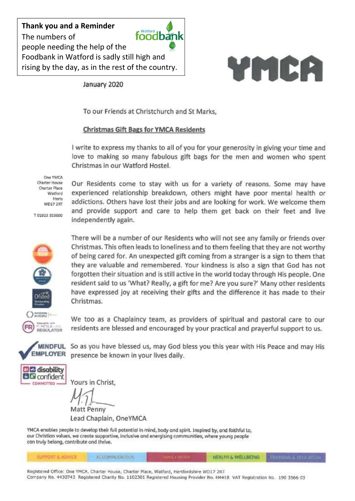Thank you and a Reminder

foodbank The numbers of people needing the help of the Foodbank in Watford is sadly still high and rising by the day, as in the rest of the country.



January 2020

independently again.

To our Friends at Christchurch and St Marks.

**Watford** 

#### **Christmas Gift Bags for YMCA Residents**

I write to express my thanks to all of you for your generosity in giving your time and love to making so many fabulous gift bags for the men and women who spent Christmas in our Watford Hostel.

Our Residents come to stay with us for a variety of reasons. Some may have

experienced relationship breakdown, others might have poor mental health or

addictions. Others have lost their jobs and are looking for work. We welcome them

and provide support and care to help them get back on their feet and live

One YMCA Charter House **Charter Place** Watford Herts **WD17 2RT** 

T 01923 353600



There will be a number of our Residents who will not see any family or friends over Christmas. This often leads to loneliness and to them feeling that they are not worthy of being cared for. An unexpected gift coming from a stranger is a sign to them that they are valuable and remembered. Your kindness is also a sign that God has not forgotten their situation and is still active in the world today through His people. One resident said to us 'What? Really, a gift for me? Are you sure?' Many other residents have expressed joy at receiving their gifts and the difference it has made to their Christmas.

Reportered at REGULATOR

We too as a Chaplaincy team, as providers of spiritual and pastoral care to our residents are blessed and encouraged by your practical and prayerful support to us.



So as you have blessed us, may God bless you this year with His Peace and may His presence be known in your lives daily.

**DIZ** disability **BIG** confident COMMITTED -

Yours in Christ.

Matt Penny Lead Chaplain, OneYMCA

YMCA enables people to develop their full potential in mind, bady and spirit. Inspired by, and faithful to, our Christian values, we create supportive, inclusive and energising communities, where young people can truly belong, contribute and thrive.

|  |  | <b>MANUFACTURERS STATE</b> |  | HEALTH & WELLBEING HERATIONS CALIFORNIA |  |
|--|--|----------------------------|--|-----------------------------------------|--|
|--|--|----------------------------|--|-----------------------------------------|--|

Registered Office: One YMCA, Charter House, Charter Place, Watford, Hertfordshire WD17 2RT Company No. 4430743. Registered Charity No. 1102301 Registered Housing Provider No. H4418 VAT Registration No. 190 3566 03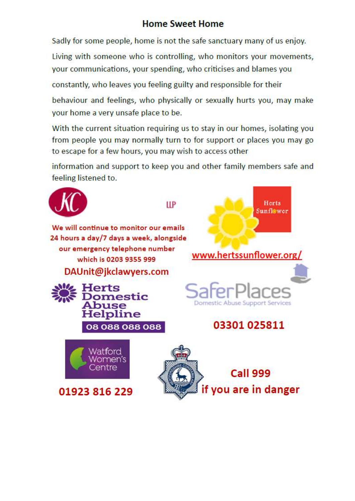## **Home Sweet Home**

Sadly for some people, home is not the safe sanctuary many of us enjoy.

Living with someone who is controlling, who monitors your movements. your communications, your spending, who criticises and blames you

constantly, who leaves you feeling guilty and responsible for their

behaviour and feelings, who physically or sexually hurts you, may make your home a very unsafe place to be.

With the current situation requiring us to stay in our homes, isolating you from people you may normally turn to for support or places you may go to escape for a few hours, you may wish to access other

information and support to keep you and other family members safe and feeling listened to.

**LLP** 



We will continue to monitor our emails 24 hours a day/7 days a week, alongside our emergency telephone number which is 0203 9355 999 DAUnit@jkclawyers.com





Herts

Sunflower

## 03301 025811



01923 816 229

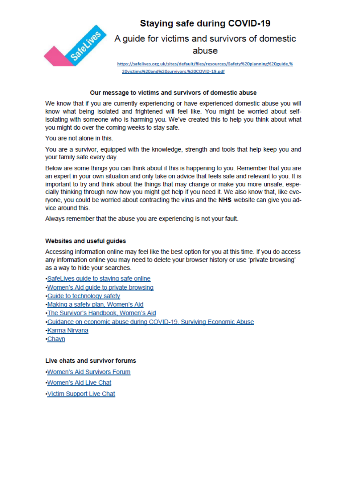

## Staving safe during COVID-19

A quide for victims and survivors of domestic abuse

https://safelives.org.uk/sites/default/files/resources/Safety%20planning%20guide.% 20victims%20and%20survivors.%20COVID-19.pdf

#### Our message to victims and survivors of domestic abuse

We know that if you are currently experiencing or have experienced domestic abuse you will know what being isolated and frightened will feel like. You might be worried about selfisolating with someone who is harming you. We've created this to help you think about what you might do over the coming weeks to stay safe.

You are not alone in this.

You are a survivor, equipped with the knowledge, strength and tools that help keep you and your family safe every day.

Below are some things you can think about if this is happening to you. Remember that you are an expert in your own situation and only take on advice that feels safe and relevant to you. It is important to try and think about the things that may change or make you more unsafe, especially thinking through now how you might get help if you need it. We also know that, like everyone, you could be worried about contracting the virus and the NHS website can give you advice around this.

Always remember that the abuse you are experiencing is not your fault.

#### Websites and useful guides

Accessing information online may feel like the best option for you at this time. If you do access any information online you may need to delete your browser history or use 'private browsing' as a way to hide your searches.

•SafeLives quide to staying safe online Women's Aid quide to private browsing .Guide to technology safety .Making a safety plan, Women's Aid . The Survivor's Handbook, Women's Aid .Guidance on economic abuse during COVID-19, Surviving Economic Abuse **Karma Nirvana** •Chayn

#### Live chats and survivor forums

.Women's Aid Survivors Forum

. Women's Aid Live Chat

. Victim Support Live Chat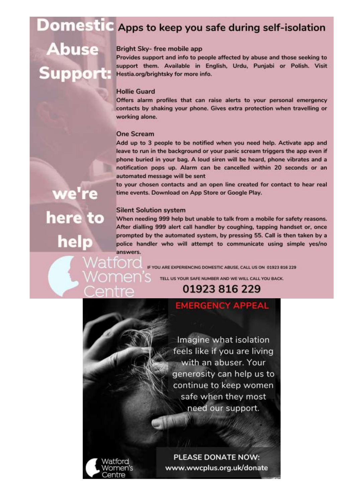## **Domestic** Apps to keep you safe during self-isolation

## Abuse **Support:**

#### Bright Sky- free mobile app

Provides support and info to people affected by abuse and those seeking to support them. Available in English, Urdu, Punjabi or Polish. Visit Hestia.org/brightsky for more info.

#### **Hollie Guard**

Offers alarm profiles that can raise alerts to your personal emergency contacts by shaking your phone. Gives extra protection when travelling or working alone.

#### **One Scream**

Add up to 3 people to be notified when you need help. Activate app and leave to run in the background or your panic scream triggers the app even if phone buried in your bag. A loud siren will be heard, phone vibrates and a notification pops up. Alarm can be cancelled within 20 seconds or an automated message will be sent

to your chosen contacts and an open line created for contact to hear real time events. Download on App Store or Google Play.

#### **Silent Solution system**

When needing 999 help but unable to talk from a mobile for safety reasons. After dialling 999 alert call handler by coughing, tapping handset or, once prompted by the automated system, by pressing 55. Call is then taken by a police handler who will attempt to communicate using simple yes/no answers.

IF YOU ARE EXPERIENCING DOMESTIC ABUSE. CALL US ON 01923 816 229

TELL US YOUR SAFE NUMBER AND WE WILL CALL YOU BACK.

01923 816 229

Imagine what isolation feels like if you are living with an abuser. Your generosity can help us to continue to keep women safe when they most need our support.

**PLEASE DONATE NOW:** www.wwcplus.org.uk/donate

we're here to help attorc